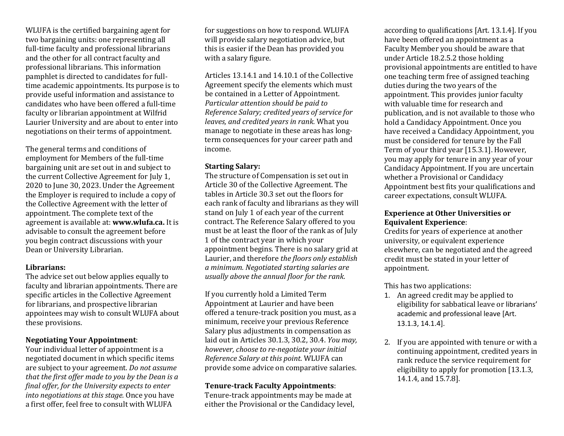WLUFA is the certified bargaining agent for two bargaining units: one representing all full-time faculty and professional librarians and the other for all contract faculty and professional librarians. This information pamphlet is directed to candidates for fulltime academic appointments. Its purpose is to provide useful information and assistance to candidates who have been offered a full-time faculty or librarian appointment at Wilfrid Laurier University and are about to enter into negotiations on their terms of appointment.

The general terms and conditions of employment for Members of the full-time bargaining unit are set out in and subject to the current Collective Agreement for July 1, 2020 to June 30, 2023. Under the Agreement the Employer is required to include a copy of the Collective Agreement with the letter of appointment. The complete text of the agreement is available at: **www.wlufa.ca.** It is advisable to consult the agreement before you begin contract discussions with your Dean or University Librarian.

#### **Librarians:**

The advice set out below applies equally to faculty and librarian appointments. There are specific articles in the Collective Agreement for librarians, and prospective librarian appointees may wish to consult WLUFA about these provisions.

# **Negotiating Your Appointment**:

Your individual letter of appointment is a negotiated document in which specific items are subject to your agreement. *Do not assume that the first offer made to you by the Dean is a final offer, for the University expects to enter into negotiations at this stage.* Once you have a first offer, feel free to consult with WLUFA

for suggestions on how to respond. WLUFA will provide salary negotiation advice, but this is easier if the Dean has provided you with a salary figure.

Articles 13.14.1 and 14.10.1 of the Collective Agreement specify the elements which must be contained in a Letter of Appointment. *Particular attention should be paid to Reference Salary; credited years of service for leaves, and credited years in rank.* What you manage to negotiate in these areas has longterm consequences for your career path and income.

# **Starting Salary:**

The structure of Compensation is set out in Article 30 of the Collective Agreement. The tables in Article 30.3 set out the floors for each rank of faculty and librarians as they will stand on July 1 of each year of the current contract. The Reference Salary offered to you must be at least the floor of the rank as of July 1 of the contract year in which your appointment begins. There is no salary grid at Laurier, and therefore *the floors only establish a minimum. Negotiated starting salaries are usually above the annual floor for the rank.*

If you currently hold a Limited Term Appointment at Laurier and have been offered a tenure-track position you must, as a minimum, receive your previous Reference Salary plus adjustments in compensation as laid out in Articles 30.1.3, 30.2, 30.4. *You may, however, choose to re-negotiate your initial Reference Salary at this point.* WLUFA can provide some advice on comparative salaries.

# **Tenure-track Faculty Appointments**:

Tenure-track appointments may be made at either the Provisional or the Candidacy level,

according to qualifications [Art. 13.1.4]. If you have been offered an appointment as a Faculty Member you should be aware that under Article 18.2.5.2 those holding provisional appointments are entitled to have one teaching term free of assigned teaching duties during the two years of the appointment. This provides junior faculty with valuable time for research and publication, and is not available to those who hold a Candidacy Appointment. Once you have received a Candidacy Appointment, you must be considered for tenure by the Fall Term of your third year [15.3.1]. However, you may apply for tenure in any year of your Candidacy Appointment. If you are uncertain whether a Provisional or Candidacy Appointment best fits your qualifications and career expectations, consult WLUFA.

# **Experience at Other Universities or Equivalent Experience**:

Credits for years of experience at another university, or equivalent experience elsewhere, can be negotiated and the agreed credit must be stated in your letter of appointment.

This has two applications:

- 1. An agreed credit may be applied to eligibility for sabbatical leave or librarians' academic and professional leave [Art. 13.1.3, 14.1.4].
- 2. If you are appointed with tenure or with a continuing appointment, credited years in rank reduce the service requirement for eligibility to apply for promotion [13.1.3, 14.1.4, and 15.7.8].